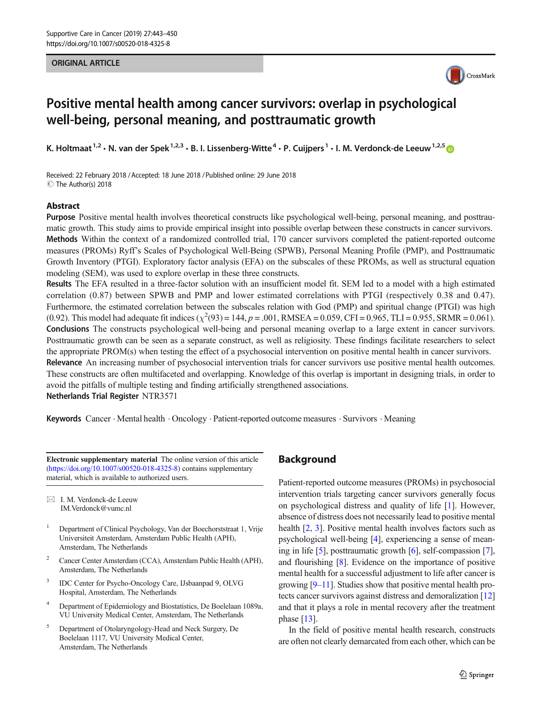#### ORIGINAL ARTICLE



# Positive mental health among cancer survivors: overlap in psychological well-being, personal meaning, and posttraumatic growth

K. Holtmaat<sup>1,2</sup>  $\cdot$  N. van der Spek<sup>1,2,3</sup>  $\cdot$  B. I. Lissenberg-Witte<sup>4</sup>  $\cdot$  P. Cuijpers<sup>1</sup>  $\cdot$  I. M. Verdonck-de Leeuw<sup>1,2,5</sup>

Received: 22 February 2018 /Accepted: 18 June 2018 /Published online: 29 June 2018 © The Author(s) 2018

#### Abstract

Purpose Positive mental health involves theoretical constructs like psychological well-being, personal meaning, and posttraumatic growth. This study aims to provide empirical insight into possible overlap between these constructs in cancer survivors. Methods Within the context of a randomized controlled trial, 170 cancer survivors completed the patient-reported outcome measures (PROMs) Ryff's Scales of Psychological Well-Being (SPWB), Personal Meaning Profile (PMP), and Posttraumatic Growth Inventory (PTGI). Exploratory factor analysis (EFA) on the subscales of these PROMs, as well as structural equation modeling (SEM), was used to explore overlap in these three constructs.

Results The EFA resulted in a three-factor solution with an insufficient model fit. SEM led to a model with a high estimated correlation (0.87) between SPWB and PMP and lower estimated correlations with PTGI (respectively 0.38 and 0.47). Furthermore, the estimated correlation between the subscales relation with God (PMP) and spiritual change (PTGI) was high (0.92). This model had adequate fit indices  $(\chi^2(93) = 144, p = .001, RMSEA = 0.059, CFI = 0.965, TLI = 0.955, SRMR = 0.061)$ . Conclusions The constructs psychological well-being and personal meaning overlap to a large extent in cancer survivors. Posttraumatic growth can be seen as a separate construct, as well as religiosity. These findings facilitate researchers to select the appropriate PROM(s) when testing the effect of a psychosocial intervention on positive mental health in cancer survivors. Relevance An increasing number of psychosocial intervention trials for cancer survivors use positive mental health outcomes. These constructs are often multifaceted and overlapping. Knowledge of this overlap is important in designing trials, in order to avoid the pitfalls of multiple testing and finding artificially strengthened associations. Netherlands Trial Register NTR3571

Keywords Cancer . Mental health . Oncology . Patient-reported outcome measures . Survivors . Meaning

Electronic supplementary material The online version of this article (<https://doi.org/10.1007/s00520-018-4325-8>) contains supplementary material, which is available to authorized users.

 $\boxtimes$  I. M. Verdonck-de Leeuw [IM.Verdonck@vumc.nl](mailto:IM.Verdonck@vumc.nl)

- <sup>1</sup> Department of Clinical Psychology, Van der Boechorststraat 1, Vrije Universiteit Amsterdam, Amsterdam Public Health (APH), Amsterdam, The Netherlands
- <sup>2</sup> Cancer Center Amsterdam (CCA), Amsterdam Public Health (APH), Amsterdam, The Netherlands
- <sup>3</sup> IDC Center for Psycho-Oncology Care, IJsbaanpad 9, OLVG Hospital, Amsterdam, The Netherlands
- <sup>4</sup> Department of Epidemiology and Biostatistics, De Boelelaan 1089a, VU University Medical Center, Amsterdam, The Netherlands
- <sup>5</sup> Department of Otolaryngology-Head and Neck Surgery, De Boelelaan 1117, VU University Medical Center, Amsterdam, The Netherlands

## Background

Patient-reported outcome measures (PROMs) in psychosocial intervention trials targeting cancer survivors generally focus on psychological distress and quality of life [[1\]](#page-6-0). However, absence of distress does not necessarily lead to positive mental health [[2,](#page-6-0) [3](#page-6-0)]. Positive mental health involves factors such as psychological well-being [[4](#page-6-0)], experiencing a sense of meaning in life [\[5](#page-6-0)], posttraumatic growth [\[6\]](#page-6-0), self-compassion [[7\]](#page-6-0), and flourishing [[8\]](#page-6-0). Evidence on the importance of positive mental health for a successful adjustment to life after cancer is growing [[9](#page-6-0)–[11](#page-6-0)]. Studies show that positive mental health protects cancer survivors against distress and demoralization [\[12\]](#page-6-0) and that it plays a role in mental recovery after the treatment phase  $[13]$ .

In the field of positive mental health research, constructs are often not clearly demarcated from each other, which can be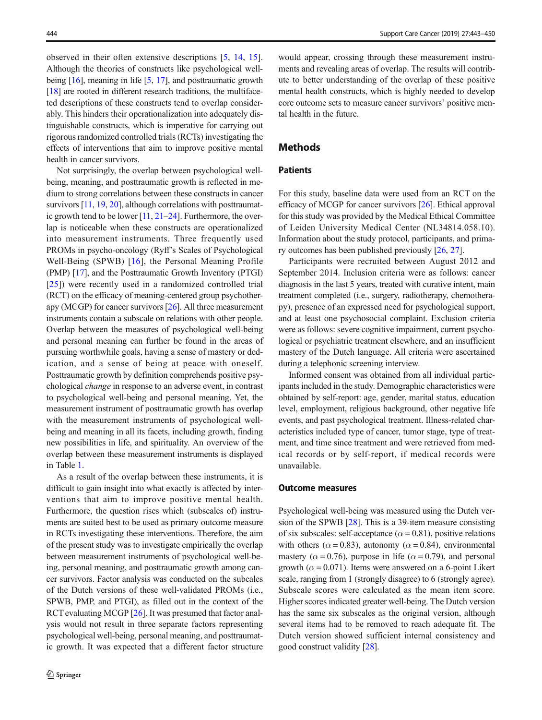observed in their often extensive descriptions [[5,](#page-6-0) [14,](#page-6-0) [15](#page-6-0)]. Although the theories of constructs like psychological wellbeing [\[16](#page-6-0)], meaning in life [\[5](#page-6-0), [17](#page-7-0)], and posttraumatic growth [\[18\]](#page-7-0) are rooted in different research traditions, the multifaceted descriptions of these constructs tend to overlap considerably. This hinders their operationalization into adequately distinguishable constructs, which is imperative for carrying out rigorous randomized controlled trials (RCTs) investigating the effects of interventions that aim to improve positive mental health in cancer survivors.

Not surprisingly, the overlap between psychological wellbeing, meaning, and posttraumatic growth is reflected in medium to strong correlations between these constructs in cancer survivors [\[11,](#page-6-0) [19,](#page-7-0) [20](#page-7-0)], although correlations with posttraumatic growth tend to be lower  $[11, 21-24]$  $[11, 21-24]$  $[11, 21-24]$  $[11, 21-24]$  $[11, 21-24]$ . Furthermore, the overlap is noticeable when these constructs are operationalized into measurement instruments. Three frequently used PROMs in psycho-oncology (Ryff's Scales of Psychological Well-Being (SPWB) [\[16\]](#page-6-0), the Personal Meaning Profile (PMP) [[17\]](#page-7-0), and the Posttraumatic Growth Inventory (PTGI) [\[25](#page-7-0)]) were recently used in a randomized controlled trial (RCT) on the efficacy of meaning-centered group psychotherapy (MCGP) for cancer survivors [[26](#page-7-0)]. All three measurement instruments contain a subscale on relations with other people. Overlap between the measures of psychological well-being and personal meaning can further be found in the areas of pursuing worthwhile goals, having a sense of mastery or dedication, and a sense of being at peace with oneself. Posttraumatic growth by definition comprehends positive psychological change in response to an adverse event, in contrast to psychological well-being and personal meaning. Yet, the measurement instrument of posttraumatic growth has overlap with the measurement instruments of psychological wellbeing and meaning in all its facets, including growth, finding new possibilities in life, and spirituality. An overview of the overlap between these measurement instruments is displayed in Table [1](#page-2-0).

As a result of the overlap between these instruments, it is difficult to gain insight into what exactly is affected by interventions that aim to improve positive mental health. Furthermore, the question rises which (subscales of) instruments are suited best to be used as primary outcome measure in RCTs investigating these interventions. Therefore, the aim of the present study was to investigate empirically the overlap between measurement instruments of psychological well-being, personal meaning, and posttraumatic growth among cancer survivors. Factor analysis was conducted on the subcales of the Dutch versions of these well-validated PROMs (i.e., SPWB, PMP, and PTGI), as filled out in the context of the RCT evaluating MCGP [[26\]](#page-7-0). It was presumed that factor analysis would not result in three separate factors representing psychological well-being, personal meaning, and posttraumatic growth. It was expected that a different factor structure would appear, crossing through these measurement instruments and revealing areas of overlap. The results will contribute to better understanding of the overlap of these positive mental health constructs, which is highly needed to develop core outcome sets to measure cancer survivors' positive mental health in the future.

## Methods

## **Patients**

For this study, baseline data were used from an RCT on the efficacy of MCGP for cancer survivors [[26\]](#page-7-0). Ethical approval for this study was provided by the Medical Ethical Committee of Leiden University Medical Center (NL34814.058.10). Information about the study protocol, participants, and primary outcomes has been published previously [\[26](#page-7-0), [27\]](#page-7-0).

Participants were recruited between August 2012 and September 2014. Inclusion criteria were as follows: cancer diagnosis in the last 5 years, treated with curative intent, main treatment completed (i.e., surgery, radiotherapy, chemotherapy), presence of an expressed need for psychological support, and at least one psychosocial complaint. Exclusion criteria were as follows: severe cognitive impairment, current psychological or psychiatric treatment elsewhere, and an insufficient mastery of the Dutch language. All criteria were ascertained during a telephonic screening interview.

Informed consent was obtained from all individual participants included in the study. Demographic characteristics were obtained by self-report: age, gender, marital status, education level, employment, religious background, other negative life events, and past psychological treatment. Illness-related characteristics included type of cancer, tumor stage, type of treatment, and time since treatment and were retrieved from medical records or by self-report, if medical records were unavailable.

## Outcome measures

Psychological well-being was measured using the Dutch version of the SPWB [\[28\]](#page-7-0). This is a 39-item measure consisting of six subscales: self-acceptance ( $\alpha$  = 0.81), positive relations with others ( $\alpha$  = 0.83), autonomy ( $\alpha$  = 0.84), environmental mastery ( $\alpha$  = 0.76), purpose in life ( $\alpha$  = 0.79), and personal growth ( $\alpha$  = 0.071). Items were answered on a 6-point Likert scale, ranging from 1 (strongly disagree) to 6 (strongly agree). Subscale scores were calculated as the mean item score. Higher scores indicated greater well-being. The Dutch version has the same six subscales as the original version, although several items had to be removed to reach adequate fit. The Dutch version showed sufficient internal consistency and good construct validity [[28](#page-7-0)].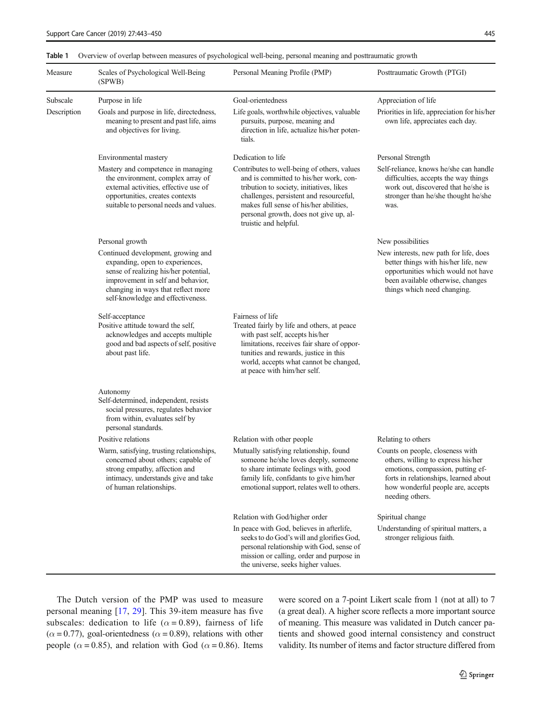| Measure     | Scales of Psychological Well-Being<br>(SPWB)                                                                                                                                                                                   | Personal Meaning Profile (PMP)                                                                                                                                                                                                                                                            | Posttraumatic Growth (PTGI)                                                                                                                                                                                  |  |  |
|-------------|--------------------------------------------------------------------------------------------------------------------------------------------------------------------------------------------------------------------------------|-------------------------------------------------------------------------------------------------------------------------------------------------------------------------------------------------------------------------------------------------------------------------------------------|--------------------------------------------------------------------------------------------------------------------------------------------------------------------------------------------------------------|--|--|
| Subscale    | Purpose in life                                                                                                                                                                                                                | Goal-orientedness                                                                                                                                                                                                                                                                         | Appreciation of life                                                                                                                                                                                         |  |  |
| Description | Goals and purpose in life, directedness,<br>meaning to present and past life, aims<br>and objectives for living.                                                                                                               | Life goals, worthwhile objectives, valuable<br>pursuits, purpose, meaning and<br>direction in life, actualize his/her poten-<br>tials.                                                                                                                                                    | Priorities in life, appreciation for his/her<br>own life, appreciates each day.                                                                                                                              |  |  |
|             | Environmental mastery                                                                                                                                                                                                          | Dedication to life                                                                                                                                                                                                                                                                        | Personal Strength                                                                                                                                                                                            |  |  |
|             | Mastery and competence in managing<br>the environment, complex array of<br>external activities, effective use of<br>opportunities, creates contexts<br>suitable to personal needs and values.                                  | Contributes to well-being of others, values<br>and is committed to his/her work, con-<br>tribution to society, initiatives, likes<br>challenges, persistent and resourceful,<br>makes full sense of his/her abilities,<br>personal growth, does not give up, al-<br>truistic and helpful. | Self-reliance, knows he/she can handle<br>difficulties, accepts the way things<br>work out, discovered that he/she is<br>stronger than he/she thought he/she<br>was.                                         |  |  |
|             | Personal growth                                                                                                                                                                                                                |                                                                                                                                                                                                                                                                                           | New possibilities                                                                                                                                                                                            |  |  |
|             | Continued development, growing and<br>expanding, open to experiences,<br>sense of realizing his/her potential,<br>improvement in self and behavior,<br>changing in ways that reflect more<br>self-knowledge and effectiveness. |                                                                                                                                                                                                                                                                                           | New interests, new path for life, does<br>better things with his/her life, new<br>opportunities which would not have<br>been available otherwise, changes<br>things which need changing.                     |  |  |
|             | Self-acceptance<br>Positive attitude toward the self.<br>acknowledges and accepts multiple<br>good and bad aspects of self, positive<br>about past life.                                                                       | Fairness of life<br>Treated fairly by life and others, at peace<br>with past self, accepts his/her<br>limitations, receives fair share of oppor-<br>tunities and rewards, justice in this<br>world, accepts what cannot be changed,<br>at peace with him/her self.                        |                                                                                                                                                                                                              |  |  |
|             | Autonomy<br>Self-determined, independent, resists<br>social pressures, regulates behavior<br>from within, evaluates self by<br>personal standards.                                                                             |                                                                                                                                                                                                                                                                                           |                                                                                                                                                                                                              |  |  |
|             | Positive relations                                                                                                                                                                                                             | Relation with other people                                                                                                                                                                                                                                                                | Relating to others                                                                                                                                                                                           |  |  |
|             | Warm, satisfying, trusting relationships,<br>concerned about others; capable of<br>strong empathy, affection and<br>intimacy, understands give and take<br>of human relationships.                                             | Mutually satisfying relationship, found<br>someone he/she loves deeply, someone<br>to share intimate feelings with, good<br>family life, confidants to give him/her<br>emotional support, relates well to others.                                                                         | Counts on people, closeness with<br>others, willing to express his/her<br>emotions, compassion, putting ef-<br>forts in relationships, learned about<br>how wonderful people are, accepts<br>needing others. |  |  |
|             |                                                                                                                                                                                                                                | Relation with God/higher order                                                                                                                                                                                                                                                            | Spiritual change                                                                                                                                                                                             |  |  |
|             |                                                                                                                                                                                                                                | In peace with God, believes in afterlife,<br>seeks to do God's will and glorifies God,<br>personal relationship with God, sense of<br>mission or calling, order and purpose in<br>the universe, seeks higher values.                                                                      | Understanding of spiritual matters, a<br>stronger religious faith.                                                                                                                                           |  |  |

## <span id="page-2-0"></span>Table 1 Overview of overlap between measures of psychological well-being, personal meaning and posttraumatic growth

The Dutch version of the PMP was used to measure personal meaning [[17,](#page-7-0) [29\]](#page-7-0). This 39-item measure has five subscales: dedication to life ( $\alpha$  = 0.89), fairness of life  $(\alpha = 0.77)$ , goal-orientedness ( $\alpha = 0.89$ ), relations with other people ( $\alpha$  = 0.85), and relation with God ( $\alpha$  = 0.86). Items were scored on a 7-point Likert scale from 1 (not at all) to 7 (a great deal). A higher score reflects a more important source of meaning. This measure was validated in Dutch cancer patients and showed good internal consistency and construct validity. Its number of items and factor structure differed from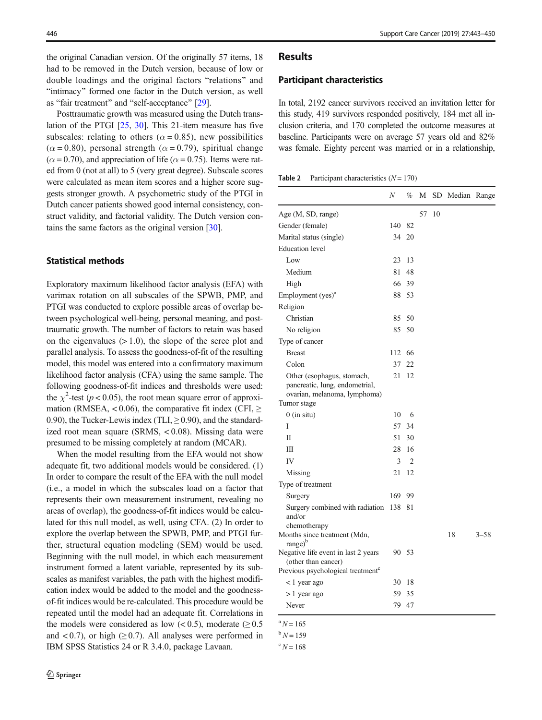<span id="page-3-0"></span>the original Canadian version. Of the originally 57 items, 18 had to be removed in the Dutch version, because of low or double loadings and the original factors "relations" and "intimacy" formed one factor in the Dutch version, as well as "fair treatment" and "self-acceptance" [\[29\]](#page-7-0).

Posttraumatic growth was measured using the Dutch translation of the PTGI [\[25,](#page-7-0) [30\]](#page-7-0). This 21-item measure has five subscales: relating to others ( $\alpha$  = 0.85), new possibilities  $(\alpha = 0.80)$ , personal strength  $(\alpha = 0.79)$ , spiritual change  $(\alpha = 0.70)$ , and appreciation of life ( $\alpha = 0.75$ ). Items were rated from 0 (not at all) to 5 (very great degree). Subscale scores were calculated as mean item scores and a higher score suggests stronger growth. A psychometric study of the PTGI in Dutch cancer patients showed good internal consistency, construct validity, and factorial validity. The Dutch version contains the same factors as the original version [\[30](#page-7-0)].

## Statistical methods

Exploratory maximum likelihood factor analysis (EFA) with varimax rotation on all subscales of the SPWB, PMP, and PTGI was conducted to explore possible areas of overlap between psychological well-being, personal meaning, and posttraumatic growth. The number of factors to retain was based on the eigenvalues  $(>1.0)$ , the slope of the scree plot and parallel analysis. To assess the goodness-of-fit of the resulting model, this model was entered into a confirmatory maximum likelihood factor analysis (CFA) using the same sample. The following goodness-of-fit indices and thresholds were used: the  $\chi^2$ -test ( $p < 0.05$ ), the root mean square error of approximation (RMSEA, < 0.06), the comparative fit index (CFI,  $\geq$ 0.90), the Tucker-Lewis index (TLI,  $\geq$  0.90), and the standardized root mean square (SRMS, < 0.08). Missing data were presumed to be missing completely at random (MCAR).

When the model resulting from the EFA would not show adequate fit, two additional models would be considered. (1) In order to compare the result of the EFA with the null model (i.e., a model in which the subscales load on a factor that represents their own measurement instrument, revealing no areas of overlap), the goodness-of-fit indices would be calculated for this null model, as well, using CFA. (2) In order to explore the overlap between the SPWB, PMP, and PTGI further, structural equation modeling (SEM) would be used. Beginning with the null model, in which each measurement instrument formed a latent variable, represented by its subscales as manifest variables, the path with the highest modification index would be added to the model and the goodnessof-fit indices would be re-calculated. This procedure would be repeated until the model had an adequate fit. Correlations in the models were considered as low  $(< 0.5)$ , moderate  $(\geq 0.5)$ and  $\langle 0.7 \rangle$ , or high ( $\geq 0.7$ ). All analyses were performed in IBM SPSS Statistics 24 or R 3.4.0, package Lavaan.

## Results

#### Participant characteristics

In total, 2192 cancer survivors received an invitation letter for this study, 419 survivors responded positively, 184 met all inclusion criteria, and 170 completed the outcome measures at baseline. Participants were on average 57 years old and 82% was female. Eighty percent was married or in a relationship,

**Table 2** Participant characteristics  $(N = 170)$ 

|                                                                                                             | N             | %              | М  |    | SD Median Range |          |
|-------------------------------------------------------------------------------------------------------------|---------------|----------------|----|----|-----------------|----------|
| Age (M, SD, range)                                                                                          |               |                | 57 | 10 |                 |          |
| Gender (female)                                                                                             | 140           | 82             |    |    |                 |          |
| Marital status (single)                                                                                     |               | 34 20          |    |    |                 |          |
| <b>Education</b> level                                                                                      |               |                |    |    |                 |          |
| Low                                                                                                         | 23            | 13             |    |    |                 |          |
| Medium                                                                                                      | 81            | 48             |    |    |                 |          |
| High                                                                                                        | 66            | 39             |    |    |                 |          |
| Employment (yes) <sup>a</sup>                                                                               | 88            | 53             |    |    |                 |          |
| Religion                                                                                                    |               |                |    |    |                 |          |
| Christian                                                                                                   | 85            | 50             |    |    |                 |          |
| No religion                                                                                                 | 85            | 50             |    |    |                 |          |
| Type of cancer                                                                                              |               |                |    |    |                 |          |
| <b>Breast</b>                                                                                               | 112           | 66             |    |    |                 |          |
| Colon                                                                                                       | 37            | 22             |    |    |                 |          |
| Other (esophagus, stomach,<br>pancreatic, lung, endometrial,<br>ovarian, melanoma, lymphoma)<br>Tumor stage | 21            | 12             |    |    |                 |          |
| $0$ (in situ)                                                                                               | 10            | 6              |    |    |                 |          |
| Ī                                                                                                           | 57            | 34             |    |    |                 |          |
| П                                                                                                           | 51.           | 30             |    |    |                 |          |
| Ш                                                                                                           | 28            | 16             |    |    |                 |          |
| IV                                                                                                          | $\mathcal{E}$ | $\mathfrak{D}$ |    |    |                 |          |
| Missing                                                                                                     | 21            | 12             |    |    |                 |          |
| Type of treatment                                                                                           |               |                |    |    |                 |          |
| Surgery                                                                                                     | 169           | 99             |    |    |                 |          |
| Surgery combined with radiation<br>and/or<br>chemotherapy                                                   | 138           | 81             |    |    |                 |          |
| Months since treatment (Mdn,<br>range) <sup>b</sup>                                                         |               |                |    |    | 18              | $3 - 58$ |
| Negative life event in last 2 years<br>(other than cancer)                                                  |               | 90 53          |    |    |                 |          |
| Previous psychological treatment <sup>c</sup>                                                               |               |                |    |    |                 |          |
| $<$ 1 year ago                                                                                              | 30            | 18             |    |    |                 |          |
| $>1$ year ago                                                                                               | 59            | 35             |    |    |                 |          |
| Never                                                                                                       | 79            | 47             |    |    |                 |          |

 $^{a} N = 165$ 

 $b<sub>N</sub> = 159$ 

 $\degree N = 168$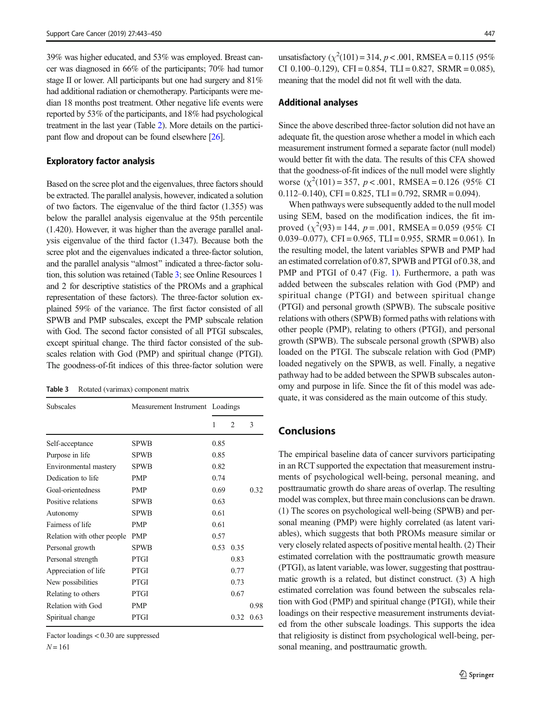39% was higher educated, and 53% was employed. Breast cancer was diagnosed in 66% of the participants; 70% had tumor stage II or lower. All participants but one had surgery and 81% had additional radiation or chemotherapy. Participants were median 18 months post treatment. Other negative life events were reported by 53% of the participants, and 18% had psychological treatment in the last year (Table [2](#page-3-0)). More details on the participant flow and dropout can be found elsewhere [\[26\]](#page-7-0).

## Exploratory factor analysis

Based on the scree plot and the eigenvalues, three factors should be extracted. The parallel analysis, however, indicated a solution of two factors. The eigenvalue of the third factor (1.355) was below the parallel analysis eigenvalue at the 95th percentile (1.420). However, it was higher than the average parallel analysis eigenvalue of the third factor (1.347). Because both the scree plot and the eigenvalues indicated a three-factor solution, and the parallel analysis "almost" indicated a three-factor solution, this solution was retained (Table 3; see Online Resources 1 and 2 for descriptive statistics of the PROMs and a graphical representation of these factors). The three-factor solution explained 59% of the variance. The first factor consisted of all SPWB and PMP subscales, except the PMP subscale relation with God. The second factor consisted of all PTGI subscales, except spiritual change. The third factor consisted of the subscales relation with God (PMP) and spiritual change (PTGI). The goodness-of-fit indices of this three-factor solution were

Table 3 Rotated (varimax) component matrix

| Subscales                  | Measurement Instrument Loadings |      |                    |      |  |
|----------------------------|---------------------------------|------|--------------------|------|--|
|                            |                                 | 1    | $\mathfrak{D}_{1}$ | 3    |  |
| Self-acceptance            | <b>SPWB</b>                     | 0.85 |                    |      |  |
| Purpose in life            | <b>SPWB</b>                     | 0.85 |                    |      |  |
| Environmental mastery      | <b>SPWB</b>                     | 0.82 |                    |      |  |
| Dedication to life         | <b>PMP</b>                      | 0.74 |                    |      |  |
| Goal-orientedness          | <b>PMP</b>                      | 0.69 |                    | 0.32 |  |
| Positive relations         | <b>SPWB</b>                     | 0.63 |                    |      |  |
| Autonomy                   | <b>SPWB</b>                     | 0.61 |                    |      |  |
| Fairness of life           | <b>PMP</b>                      | 0.61 |                    |      |  |
| Relation with other people | <b>PMP</b>                      | 0.57 |                    |      |  |
| Personal growth            | <b>SPWB</b>                     | 0.53 | 0.35               |      |  |
| Personal strength          | <b>PTGI</b>                     |      | 0.83               |      |  |
| Appreciation of life       | <b>PTGI</b>                     |      | 0.77               |      |  |
| New possibilities          | <b>PTGI</b>                     |      | 0.73               |      |  |
| Relating to others         | <b>PTGI</b>                     |      | 0.67               |      |  |
| Relation with God          | <b>PMP</b>                      |      |                    | 0.98 |  |
| Spiritual change           | PTGI                            |      | 0.32               | 0.63 |  |

Factor loadings < 0.30 are suppressed

 $N = 161$ 

unsatisfactory  $(\chi^2(101) = 314, p < .001, RMSEA = 0.115, 95\%$ CI 0.100–0.129), CFI =  $0.854$ , TLI =  $0.827$ , SRMR =  $0.085$ ), meaning that the model did not fit well with the data.

## Additional analyses

Since the above described three-factor solution did not have an adequate fit, the question arose whether a model in which each measurement instrument formed a separate factor (null model) would better fit with the data. The results of this CFA showed that the goodness-of-fit indices of the null model were slightly worse  $(\chi^2(101) = 357, p < .001, RMSEA = 0.126$  (95% CI  $0.112-0.140$ , CFI =  $0.825$ , TLI =  $0.792$ , SRMR =  $0.094$ ).

When pathways were subsequently added to the null model using SEM, based on the modification indices, the fit improved  $(\chi^2(93) = 144, p = .001, RMSEA = 0.059 (95\% \text{ CI})$ 0.039–0.077), CFI = 0.965, TLI = 0.955, SRMR = 0.061). In the resulting model, the latent variables SPWB and PMP had an estimated correlation of 0.87, SPWB and PTGI of 0.38, and PMP and PTGI of 0.47 (Fig. [1\)](#page-5-0). Furthermore, a path was added between the subscales relation with God (PMP) and spiritual change (PTGI) and between spiritual change (PTGI) and personal growth (SPWB). The subscale positive relations with others (SPWB) formed paths with relations with other people (PMP), relating to others (PTGI), and personal growth (SPWB). The subscale personal growth (SPWB) also loaded on the PTGI. The subscale relation with God (PMP) loaded negatively on the SPWB, as well. Finally, a negative pathway had to be added between the SPWB subscales autonomy and purpose in life. Since the fit of this model was adequate, it was considered as the main outcome of this study.

# **Conclusions**

The empirical baseline data of cancer survivors participating in an RCT supported the expectation that measurement instruments of psychological well-being, personal meaning, and posttraumatic growth do share areas of overlap. The resulting model was complex, but three main conclusions can be drawn. (1) The scores on psychological well-being (SPWB) and personal meaning (PMP) were highly correlated (as latent variables), which suggests that both PROMs measure similar or very closely related aspects of positive mental health. (2) Their estimated correlation with the posttraumatic growth measure (PTGI), as latent variable, was lower, suggesting that posttraumatic growth is a related, but distinct construct. (3) A high estimated correlation was found between the subscales relation with God (PMP) and spiritual change (PTGI), while their loadings on their respective measurement instruments deviated from the other subscale loadings. This supports the idea that religiosity is distinct from psychological well-being, personal meaning, and posttraumatic growth.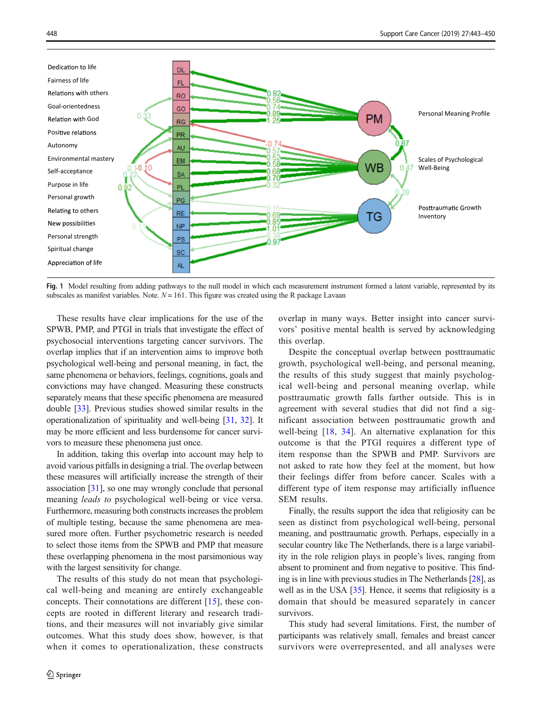<span id="page-5-0"></span>

Fig. 1 Model resulting from adding pathways to the null model in which each measurement instrument formed a latent variable, represented by its subscales as manifest variables. Note,  $N = 161$ . This figure was created using the R package Lavaan

These results have clear implications for the use of the SPWB, PMP, and PTGI in trials that investigate the effect of psychosocial interventions targeting cancer survivors. The overlap implies that if an intervention aims to improve both psychological well-being and personal meaning, in fact, the same phenomena or behaviors, feelings, cognitions, goals and convictions may have changed. Measuring these constructs separately means that these specific phenomena are measured double [[33\]](#page-7-0). Previous studies showed similar results in the operationalization of spirituality and well-being [\[31](#page-7-0), [32\]](#page-7-0). It may be more efficient and less burdensome for cancer survivors to measure these phenomena just once.

In addition, taking this overlap into account may help to avoid various pitfalls in designing a trial. The overlap between these measures will artificially increase the strength of their association [[31\]](#page-7-0), so one may wrongly conclude that personal meaning leads to psychological well-being or vice versa. Furthermore, measuring both constructs increases the problem of multiple testing, because the same phenomena are measured more often. Further psychometric research is needed to select those items from the SPWB and PMP that measure these overlapping phenomena in the most parsimonious way with the largest sensitivity for change.

The results of this study do not mean that psychological well-being and meaning are entirely exchangeable concepts. Their connotations are different [\[15](#page-6-0)], these concepts are rooted in different literary and research traditions, and their measures will not invariably give similar outcomes. What this study does show, however, is that when it comes to operationalization, these constructs overlap in many ways. Better insight into cancer survivors' positive mental health is served by acknowledging this overlap.

Despite the conceptual overlap between posttraumatic growth, psychological well-being, and personal meaning, the results of this study suggest that mainly psychological well-being and personal meaning overlap, while posttraumatic growth falls farther outside. This is in agreement with several studies that did not find a significant association between posttraumatic growth and well-being [[18,](#page-7-0) [34](#page-7-0)]. An alternative explanation for this outcome is that the PTGI requires a different type of item response than the SPWB and PMP. Survivors are not asked to rate how they feel at the moment, but how their feelings differ from before cancer. Scales with a different type of item response may artificially influence SEM results.

Finally, the results support the idea that religiosity can be seen as distinct from psychological well-being, personal meaning, and posttraumatic growth. Perhaps, especially in a secular country like The Netherlands, there is a large variability in the role religion plays in people's lives, ranging from absent to prominent and from negative to positive. This finding is in line with previous studies in The Netherlands [[28](#page-7-0)], as well as in the USA [[35\]](#page-7-0). Hence, it seems that religiosity is a domain that should be measured separately in cancer survivors.

This study had several limitations. First, the number of participants was relatively small, females and breast cancer survivors were overrepresented, and all analyses were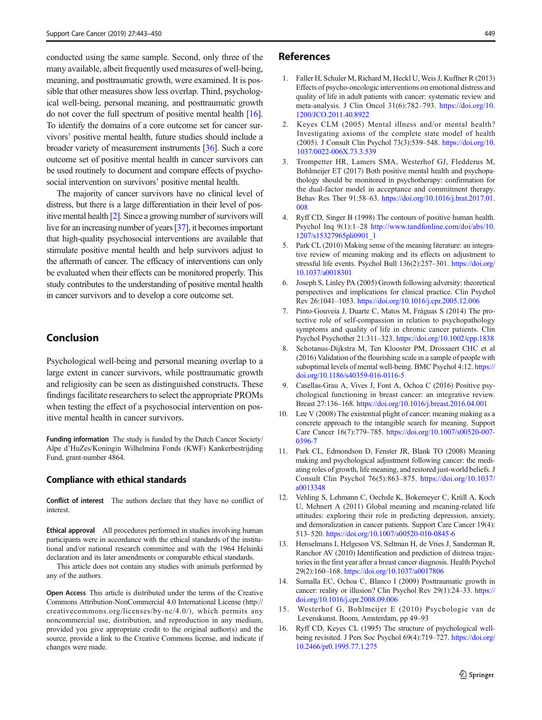<span id="page-6-0"></span>conducted using the same sample. Second, only three of the many available, albeit frequently used measures of well-being, meaning, and posttraumatic growth, were examined. It is possible that other measures show less overlap. Third, psychological well-being, personal meaning, and posttraumatic growth do not cover the full spectrum of positive mental health [16]. To identify the domains of a core outcome set for cancer survivors' positive mental health, future studies should include a broader variety of measurement instruments [[36\]](#page-7-0). Such a core outcome set of positive mental health in cancer survivors can be used routinely to document and compare effects of psychosocial intervention on survivors' positive mental health.

The majority of cancer survivors have no clinical level of distress, but there is a large differentiation in their level of positive mental health [2]. Since a growing number of survivors will live for an increasing number of years [[37](#page-7-0)], it becomes important that high-quality psychosocial interventions are available that stimulate positive mental health and help survivors adjust to the aftermath of cancer. The efficacy of interventions can only be evaluated when their effects can be monitored properly. This study contributes to the understanding of positive mental health in cancer survivors and to develop a core outcome set.

## Conclusion

Psychological well-being and personal meaning overlap to a large extent in cancer survivors, while posttraumatic growth and religiosity can be seen as distinguished constructs. These findings facilitate researchers to select the appropriate PROMs when testing the effect of a psychosocial intervention on positive mental health in cancer survivors.

Funding information The study is funded by the Dutch Cancer Society/ Alpe d'HuZes/Koningin Wilhelmina Fonds (KWF) Kankerbestrijding Fund, grant-number 4864.

#### Compliance with ethical standards

Conflict of interest The authors declare that they have no conflict of interest.

Ethical approval All procedures performed in studies involving human participants were in accordance with the ethical standards of the institutional and/or national research committee and with the 1964 Helsinki declaration and its later amendments or comparable ethical standards.

This article does not contain any studies with animals performed by any of the authors.

Open Access This article is distributed under the terms of the Creative Commons Attribution-NonCommercial 4.0 International License (http:// creativecommons.org/licenses/by-nc/4.0/), which permits any noncommercial use, distribution, and reproduction in any medium, provided you give appropriate credit to the original author(s) and the source, provide a link to the Creative Commons license, and indicate if changes were made.

## References

- 1. Faller H, Schuler M, Richard M, Heckl U, Weis J, Kuffner R (2013) Effects of psycho-oncologic interventions on emotional distress and quality of life in adult patients with cancer: systematic review and meta-analysis. J Clin Oncol 31(6):782–793. [https://doi.org/10.](https://doi.org/10.1200/JCO.2011.40.8922) [1200/JCO.2011.40.8922](https://doi.org/10.1200/JCO.2011.40.8922)
- 2. Keyes CLM (2005) Mental illness and/or mental health? Investigating axioms of the complete state model of health (2005). J Consult Clin Psychol 73(3):539–548. [https://doi.org/10.](https://doi.org/10.1037/0022-006X.73.3.539) [1037/0022-006X.73.3.539](https://doi.org/10.1037/0022-006X.73.3.539)
- 3. Trompetter HR, Lamers SMA, Westerhof GJ, Fledderus M, Bohlmeijer ET (2017) Both positive mental health and psychopathology should be monitored in psychotherapy: confirmation for the dual-factor model in acceptance and commitment therapy. Behav Res Ther 91:58–63. [https://doi.org/10.1016/j.brat.2017.01.](https://doi.org/10.1016/j.brat.2017.01.008) [008](https://doi.org/10.1016/j.brat.2017.01.008)
- 4. Ryff CD, Singer B (1998) The contours of positive human health. Psychol Inq 9(1):1–28 [http://www.tandfonline.com/doi/abs/10.](http://www.tandfonline.com/doi/abs/10.1207/s15327965pli0901_1) [1207/s15327965pli0901\\_1](http://www.tandfonline.com/doi/abs/10.1207/s15327965pli0901_1)
- 5. Park CL (2010) Making sense of the meaning literature: an integrative review of meaning making and its effects on adjustment to stressful life events. Psychol Bull 136(2):257–301. [https://doi.org/](https://doi.org/10.1037/a0018301) [10.1037/a0018301](https://doi.org/10.1037/a0018301)
- 6. Joseph S, Linley PA (2005) Growth following adversity: theoretical perspectives and implications for clinical practice. Clin Psychol Rev 26:1041–1053. <https://doi.org/10.1016/j.cpr.2005.12.006>
- 7. Pinto-Gouveia J, Duarte C, Matos M, Fráguas S (2014) The protective role of self-compassion in relation to psychopathology symptoms and quality of life in chronic cancer patients. Clin Psychol Psychother 21:311–323. <https://doi.org/10.1002/cpp.1838>
- 8. Schotanus-Dijkstra M, Ten Klooster PM, Drossaert CHC et al (2016) Validation of the flourishing scale in a sample of people with suboptimal levels of mental well-being. BMC Psychol 4:12. [https://](https://doi.org/10.1186/s40359-016-0116-5) [doi.org/10.1186/s40359-016-0116-5](https://doi.org/10.1186/s40359-016-0116-5)
- 9. Casellas-Grau A, Vives J, Font A, Ochoa C (2016) Positive psychological functioning in breast cancer: an integrative review. Breast 27:136–168. <https://doi.org/10.1016/j.breast.2016.04.001>
- 10. Lee V (2008) The existential plight of cancer: meaning making as a concrete approach to the intangible search for meaning. Support Care Cancer 16(7):779–785. [https://doi.org/10.1007/s00520-007-](https://doi.org/10.1007/s00520-007-0396-7) [0396-7](https://doi.org/10.1007/s00520-007-0396-7)
- 11. Park CL, Edmondson D, Fenster JR, Blank TO (2008) Meaning making and psychological adjustment following cancer: the mediating roles of growth, life meaning, and restored just-world beliefs. J Consult Clin Psychol 76(5):863–875. [https://doi.org/10.1037/](https://doi.org/10.1037/a0013348) [a0013348](https://doi.org/10.1037/a0013348)
- 12. Vehling S, Lehmann C, Oechsle K, Bokemeyer C, Krüll A, Koch U, Mehnert A (2011) Global meaning and meaning-related life attitudes: exploring their role in predicting depression, anxiety, and demoralization in cancer patients. Support Care Cancer 19(4): 513–520. <https://doi.org/10.1007/s00520-010-0845-6>
- 13. Henselmans I, Helgeson VS, Seltman H, de Vries J, Sanderman R, Ranchor AV (2010) Identification and prediction of distress trajectories in the first year after a breast cancer diagnosis. Health Psychol 29(2):160–168. <https://doi.org/10.1037/a0017806>
- 14. Sumalla EC, Ochoa C, Blanco I (2009) Posttraumatic growth in cancer: reality or illusion? Clin Psychol Rev 29(1):24–33. [https://](https://doi.org/10.1016/j.cpr.2008.09.006) [doi.org/10.1016/j.cpr.2008.09.006](https://doi.org/10.1016/j.cpr.2008.09.006)
- 15. Westerhof G, Bohlmeijer E (2010) Psychologie van de Levenskunst. Boom, Amsterdam, pp 49–93
- 16. Ryff CD, Keyes CL (1995) The structure of psychological wellbeing revisited. J Pers Soc Psychol 69(4):719–727. [https://doi.org/](https://doi.org/10.2466/pr0.1995.77.1.275) [10.2466/pr0.1995.77.1.275](https://doi.org/10.2466/pr0.1995.77.1.275)